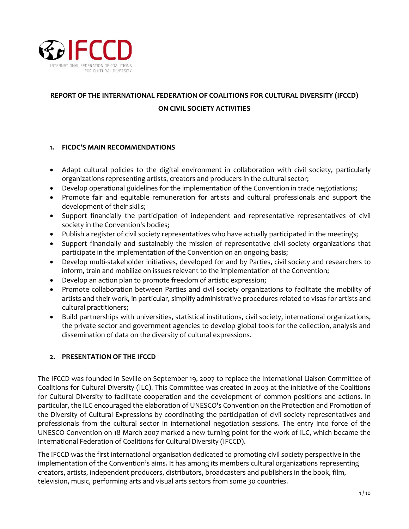

# **REPORT OF THE INTERNATIONAL FEDERATION OF COALITIONS FOR CULTURAL DIVERSITY (IFCCD) ON CIVIL SOCIETY ACTIVITIES**

## **1. FICDC'S MAIN RECOMMENDATIONS**

- Adapt cultural policies to the digital environment in collaboration with civil society, particularly organizations representing artists, creators and producers in the cultural sector;
- Develop operational guidelines for the implementation of the Convention in trade negotiations;
- Promote fair and equitable remuneration for artists and cultural professionals and support the development of their skills;
- Support financially the participation of independent and representative representatives of civil society in the Convention's bodies;
- Publish a register of civil society representatives who have actually participated in the meetings;
- Support financially and sustainably the mission of representative civil society organizations that participate in the implementation of the Convention on an ongoing basis;
- Develop multi-stakeholder initiatives, developed for and by Parties, civil society and researchers to inform, train and mobilize on issues relevant to the implementation of the Convention;
- Develop an action plan to promote freedom of artistic expression;
- Promote collaboration between Parties and civil society organizations to facilitate the mobility of artists and their work, in particular, simplify administrative procedures related to visas for artists and cultural practitioners;
- Build partnerships with universities, statistical institutions, civil society, international organizations, the private sector and government agencies to develop global tools for the collection, analysis and dissemination of data on the diversity of cultural expressions.

## **2. PRESENTATION OF THE IFCCD**

The IFCCD was founded in Seville on September 19, 2007 to replace the International Liaison Committee of Coalitions for Cultural Diversity (ILC). This Committee was created in 2003 at the initiative of the Coalitions for Cultural Diversity to facilitate cooperation and the development of common positions and actions. In particular, the ILC encouraged the elaboration of UNESCO's Convention on the Protection and Promotion of the Diversity of Cultural Expressions by coordinating the participation of civil society representatives and professionals from the cultural sector in international negotiation sessions. The entry into force of the UNESCO Convention on 18 March 2007 marked a new turning point for the work of ILC, which became the International Federation of Coalitions for Cultural Diversity (IFCCD).

The IFCCD was the first international organisation dedicated to promoting civil society perspective in the implementation of the Convention's aims. It has among its members cultural organizations representing creators, artists, independent producers, distributors, broadcasters and publishers in the book, film, television, music, performing arts and visual arts sectors from some 30 countries.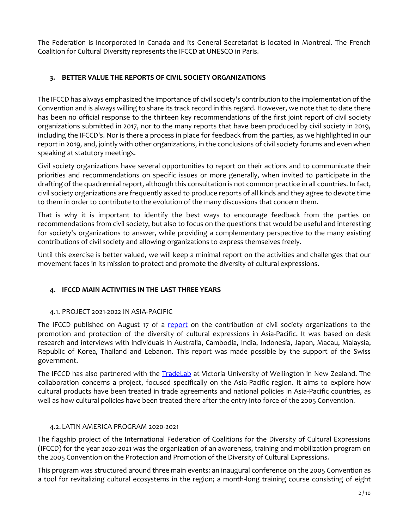The Federation is incorporated in Canada and its General Secretariat is located in Montreal. The French Coalition for Cultural Diversity represents the IFCCD at UNESCO in Paris.

# **3. BETTER VALUE THE REPORTS OF CIVIL SOCIETY ORGANIZATIONS**

The IFCCD has always emphasized the importance of civil society's contribution to the implementation of the Convention and is always willing to share its track record in this regard. However, we note that to date there has been no official response to the thirteen key recommendations of the first joint report of civil society organizations submitted in 2017, nor to the many reports that have been produced by civil society in 2019, including the IFCCD's. Nor is there a process in place for feedback from the parties, as we highlighted in our report in 2019, and, jointly with other organizations, in the conclusions of civil society forums and even when speaking at statutory meetings.

Civil society organizations have several opportunities to report on their actions and to communicate their priorities and recommendations on specific issues or more generally, when invited to participate in the drafting of the quadrennial report, although this consultation is not common practice in all countries. In fact, civil society organizations are frequently asked to produce reports of all kinds and they agree to devote time to them in order to contribute to the evolution of the many discussions that concern them.

That is why it is important to identify the best ways to encourage feedback from the parties on recommendations from civil society, but also to focus on the questions that would be useful and interesting for society's organizations to answer, while providing a complementary perspective to the many existing contributions of civil society and allowing organizations to express themselves freely.

Until this exercise is better valued, we will keep a minimal report on the activities and challenges that our movement faces in its mission to protect and promote the diversity of cultural expressions.

# **4. IFCCD MAIN ACTIVITIES IN THE LAST THREE YEARS**

## 4.1. PROJECT 2021-2022 IN ASIA-PACIFIC

The IFCCD published on August 17 of a [report](https://ficdc.org/en/publications/report-on-the-contribution-of-civil-society-to-the-promotion-and-protection-of-the-diversity-of-cultural-expressions-in-asia-pacific/) on the contribution of civil society organizations to the promotion and protection of the diversity of cultural expressions in Asia-Pacific. It was based on desk research and interviews with individuals in Australia, Cambodia, India, Indonesia, Japan, Macau, Malaysia, Republic of Korea, Thailand and Lebanon. This report was made possible by the support of the Swiss government.

The IFCCD has also partnered with the **TradeLab** at Victoria University of Wellington in New Zealand. The collaboration concerns a project, focused specifically on the Asia-Pacific region. It aims to explore how cultural products have been treated in trade agreements and national policies in Asia-Pacific countries, as well as how cultural policies have been treated there after the entry into force of the 2005 Convention.

#### 4.2. LATIN AMERICA PROGRAM 2020-2021

The flagship project of the International Federation of Coalitions for the Diversity of Cultural Expressions (IFCCD) for the year 2020-2021 was the organization of an awareness, training and mobilization program on the 2005 Convention on the Protection and Promotion of the Diversity of Cultural Expressions.

This program was structured around three main events: an inaugural conference on the 2005 Convention as a tool for revitalizing cultural ecosystems in the region; a month-long training course consisting of eight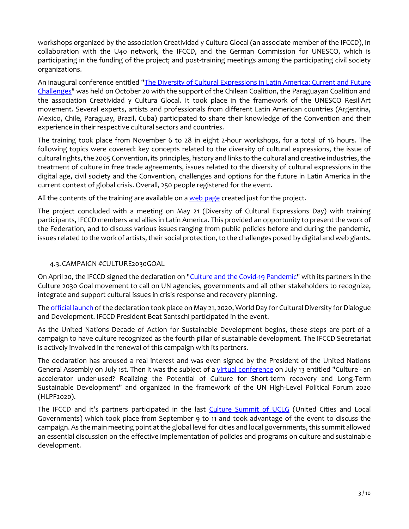workshops organized by the association Creatividad y Cultura Glocal (an associate member of the IFCCD), in collaboration with the U40 network, the IFCCD, and the German Commission for UNESCO, which is participating in the funding of the project; and post-training meetings among the participating civil society organizations.

An inaugural conference entitled ["The Diversity of Cultural Expressions in Latin America: Current and Future](https://ficdc.org/en/publications/video-conference-latin-america/)  [Challenges"](https://ficdc.org/en/publications/video-conference-latin-america/) was held on October 20 with the support of the Chilean Coalition, the Paraguayan Coalition and the association Creatividad y Cultura Glocal. It took place in the framework of the UNESCO ResiliArt movement. Several experts, artists and professionals from different Latin American countries (Argentina, Mexico, Chile, Paraguay, Brazil, Cuba) participated to share their knowledge of the Convention and their experience in their respective cultural sectors and countries.

The training took place from November 6 to 28 in eight 2-hour workshops, for a total of 16 hours. The following topics were covered: key concepts related to the diversity of cultural expressions, the issue of cultural rights, the 2005 Convention, its principles, history and links to the cultural and creative industries, the treatment of culture in free trade agreements, issues related to the diversity of cultural expressions in the digital age, civil society and the Convention, challenges and options for the future in Latin America in the current context of global crisis. Overall, 250 people registered for the event.

All the contents of the training are available on [a web page](https://formacion2020.ficdc.org/) created just for the project.

The project concluded with a meeting on May 21 (Diversity of Cultural Expressions Day) with training participants, IFCCD members and allies in Latin America. This provided an opportunity to present the work of the Federation, and to discuss various issues ranging from public policies before and during the pandemic, issues related to the work of artists, their social protection, to the challenges posed by digital and web giants.

#### 4.3.CAMPAIGN #CULTURE2030GOAL

On April 20, the IFCCD signed the declaration on ["Culture and the Covid-19 Pandemic"](http://culture2030goal.net/wp-content/uploads/2020/07/EN_culture2030goal_declaration-Culture-and-covid19-jul2020.pdf) with its partners in the Culture 2030 Goal movement to call on UN agencies, governments and all other stakeholders to recognize, integrate and support cultural issues in crisis response and recovery planning.

The [official launch](https://www.youtube.com/watch?v=FDkAGHeKa2o) of the declaration took place on May 21, 2020, World Day for Cultural Diversity for Dialogue and Development. IFCCD President Beat Santschi participated in the event.

As the United Nations Decade of Action for Sustainable Development begins, these steps are part of a campaign to have culture recognized as the fourth pillar of sustainable development. The IFCCD Secretariat is actively involved in the renewal of this campaign with its partners.

The declaration has aroused a real interest and was even signed by the President of the United Nations General Assembly on July 1st. Then it was the subject of a [virtual conference](https://www.youtube.com/watch?v=I9CWDkp2l4I) on July 13 entitled "Culture - an accelerator under-used? Realizing the Potential of Culture for Short-term recovery and Long-Term Sustainable Development" and organized in the framework of the UN High-Level Political Forum 2020 (HLPF2020).

The IFCCD and it's partners participated in the last [Culture Summit of UCLG](http://ykw6.mjt.lu/lnk/AVwAAAoapBwAAciHwloAAACdgTEAAAAIX40AmtTDAAvWigBhSMHoJbJauPvASQ2PbfLw7Jj6DQAL6oM/9/qtzs2L1Z3qupIvLE6wyj7A/aHR0cHM6Ly9hZ2VuZGEyMWN1bHR1cmUubmV0L3NpdGVzL2RlZmF1bHQvZmlsZXMvaXptaXIyMDIxX3N0YXRlbWVudF9lbi5wZGY) (United Cities and Local Governments) which took place from September 9 to 11 and took advantage of the event to discuss the campaign. As the main meeting point at the global level for cities and local governments, this summit allowed an essential discussion on the effective implementation of policies and programs on culture and sustainable development.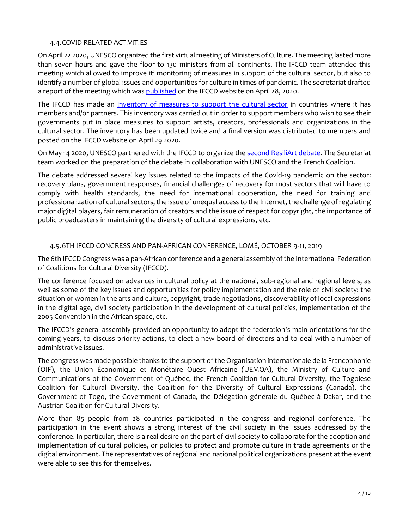#### 4.4.COVID RELATED ACTIVITIES

On April 22 2020, UNESCO organized the first virtual meeting of Ministers of Culture. The meeting lasted more than seven hours and gave the floor to 130 ministers from all continents. The IFCCD team attended this meeting which allowed to improve it' monitoring of measures in support of the cultural sector, but also to identify a number of global issues and opportunities for culture in times of pandemic. The secretariat drafted a report of the meeting which wa[s published](https://ficdc.org/en/publications/culture-in-times-of-pandemic-a-remedy-that-needs-to-be-taken-care-of/?sf_action=get_data&sf_data=all&sf_paged=2) on the IFCCD website on April 28, 2020.

The IFCCD has made an [inventory of measures to support the cultural sector](https://ficdc.org/en/publications/support-for-the-cultural-sector-is-growing-around-the-world-unevenly/) in countries where it has members and/or partners. This inventory was carried out in order to support members who wish to see their governments put in place measures to support artists, creators, professionals and organizations in the cultural sector. The inventory has been updated twice and a final version was distributed to members and posted on the IFCCD website on April 29 2020.

On May 14 2020, UNESCO partnered with the IFCCD to organize the [second ResiliArt debate.](https://ficdc.org/en/evenements/second-resiliart-debate-uneso/) The Secretariat team worked on the preparation of the debate in collaboration with UNESCO and the French Coalition.

The debate addressed several key issues related to the impacts of the Covid-19 pandemic on the sector: recovery plans, government responses, financial challenges of recovery for most sectors that will have to comply with health standards, the need for international cooperation, the need for training and professionalization of cultural sectors, the issue of unequal access to the Internet, the challenge of regulating major digital players, fair remuneration of creators and the issue of respect for copyright, the importance of public broadcasters in maintaining the diversity of cultural expressions, etc.

#### 4.5.6TH IFCCD CONGRESS AND PAN-AFRICAN CONFERENCE, LOMÉ, OCTOBER 9-11, 2019

The 6th IFCCD Congress was a pan-African conference and a general assembly of the International Federation of Coalitions for Cultural Diversity (IFCCD).

The conference focused on advances in cultural policy at the national, sub-regional and regional levels, as well as some of the key issues and opportunities for policy implementation and the role of civil society: the situation of women in the arts and culture, copyright, trade negotiations, discoverability of local expressions in the digital age, civil society participation in the development of cultural policies, implementation of the 2005 Convention in the African space, etc.

The IFCCD's general assembly provided an opportunity to adopt the federation's main orientations for the coming years, to discuss priority actions, to elect a new board of directors and to deal with a number of administrative issues.

The congress was made possible thanks to the support of the Organisation internationale de la Francophonie (OIF), the Union Économique et Monétaire Ouest Africaine (UEMOA), the Ministry of Culture and Communications of the Government of Québec, the French Coalition for Cultural Diversity, the Togolese Coalition for Cultural Diversity, the Coalition for the Diversity of Cultural Expressions (Canada), the Government of Togo, the Government of Canada, the Délégation générale du Québec à Dakar, and the Austrian Coalition for Cultural Diversity.

More than 85 people from 28 countries participated in the congress and regional conference. The participation in the event shows a strong interest of the civil society in the issues addressed by the conference. In particular, there is a real desire on the part of civil society to collaborate for the adoption and implementation of cultural policies, or policies to protect and promote culture in trade agreements or the digital environment. The representatives of regional and national political organizations present at the event were able to see this for themselves.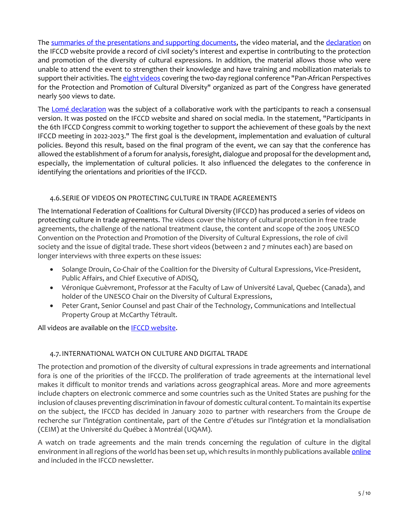The [summaries of the presentations and supporting documents,](https://ficdc.org/en/evenements/6th-ifccd-congress-a-look-back-at-the-regional-conference/) the video material, and the [declaration](https://ficdc.org/en/publications/lome-declaration-on-the-protection-and-promotion-of-the-diversity-of-cultural-expressions/) on the IFCCD website provide a record of civil society's interest and expertise in contributing to the protection and promotion of the diversity of cultural expressions. In addition, the material allows those who were unable to attend the event to strengthen their knowledge and have training and mobilization materials to support their activities. Th[e eight videos](https://ficdc.org/en/publications/videos-of-the-6th-ifccd-congress/) covering the two-day regional conference "Pan-African Perspectives for the Protection and Promotion of Cultural Diversity" organized as part of the Congress have generated nearly 500 views to date.

The [Lomé declaration](https://ficdc.org/en/publications/lome-declaration-on-the-protection-and-promotion-of-the-diversity-of-cultural-expressions/) was the subject of a collaborative work with the participants to reach a consensual version. It was posted on the IFCCD website and shared on social media. In the statement, "Participants in the 6th IFCCD Congress commit to working together to support the achievement of these goals by the next IFCCD meeting in 2022-2023." The first goal is the development, implementation and evaluation of cultural policies. Beyond this result, based on the final program of the event, we can say that the conference has allowed the establishment of a forum for analysis, foresight, dialogue and proposal for the development and, especially, the implementation of cultural policies. It also influenced the delegates to the conference in identifying the orientations and priorities of the IFCCD.

## 4.6.SERIE OF VIDEOS ON PROTECTING CULTURE IN TRADE AGREEMENTS

The International Federation of Coalitions for Cultural Diversity (IFCCD) has produced a series of videos on protecting culture in trade agreements. The videos cover the history of cultural protection in free trade agreements, the challenge of the national treatment clause, the content and scope of the 2005 UNESCO Convention on the Protection and Promotion of the Diversity of Cultural Expressions, the role of civil society and the issue of digital trade. These short videos (between 2 and 7 minutes each) are based on longer interviews with three experts on these issues:

- Solange Drouin, Co-Chair of the Coalition for the Diversity of Cultural Expressions, Vice-President, Public Affairs, and Chief Executive of ADISQ,
- Véronique Guèvremont, Professor at the Faculty of Law of Université Laval, Quebec (Canada), and holder of the UNESCO Chair on the Diversity of Cultural Expressions,
- Peter Grant, Senior Counsel and past Chair of the Technology, Communications and Intellectual Property Group at McCarthy Tétrault.

All videos are available on the [IFCCD website.](https://ficdc.org/en/publications/protecting-culture-in-trade-agreements/)

## 4.7.INTERNATIONAL WATCH ON CULTURE AND DIGITAL TRADE

The protection and promotion of the diversity of cultural expressions in trade agreements and international fora is one of the priorities of the IFCCD. The proliferation of trade agreements at the international level makes it difficult to monitor trends and variations across geographical areas. More and more agreements include chapters on electronic commerce and some countries such as the United States are pushing for the inclusion of clauses preventing discrimination in favour of domestic cultural content. To maintain its expertise on the subject, the IFCCD has decided in January 2020 to partner with researchers from the Groupe de recherche sur l'intégration continentale, part of the Centre d'études sur l'intégration et la mondialisation (CEIM) at the Université du Québec à Montréal (UQAM).

A watch on trade agreements and the main trends concerning the regulation of culture in the digital environment in all regions of the world has been set up, which results in monthly publications available *online* and included in the IFCCD newsletter.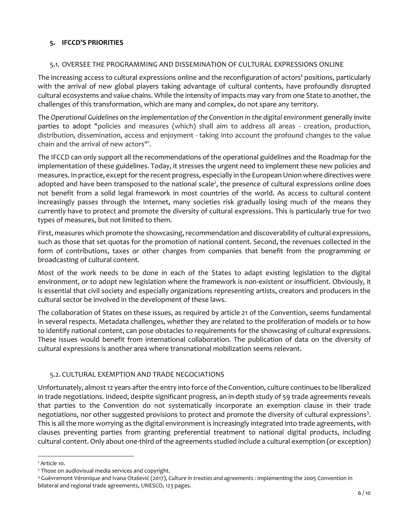# **5. IFCCD'S PRIORITIES**

## 5.1. OVERSEE THE PROGRAMMING AND DISSEMINATION OF CULTURAL EXPRESSIONS ONLINE

The increasing access to cultural expressions online and the reconfiguration of actors' positions, particularly with the arrival of new global players taking advantage of cultural contents, have profoundly disrupted cultural ecosystems and value chains. While the intensity of impacts may vary from one State to another, the challenges of this transformation, which are many and complex, do not spare any territory.

The *Operational Guidelines on the implementation of the Convention in the digital environment* generally invite parties to adopt "policies and measures (which) shall aim to address all areas - creation, production, distribution, dissemination, access and enjoyment - taking into account the profound changes to the value chain and the arrival of new actors"<sup>1</sup> .

The IFCCD can only support all the recommendations of the operational guidelines and the Roadmap for the implementation of these guidelines. Today, it stresses the urgent need to implement these new policies and measures. In practice, except for the recent progress, especially in the European Union where directives were adopted and have been transposed to the national scale<sup>2</sup>, the presence of cultural expressions online does not benefit from a solid legal framework in most countries of the world. As access to cultural content increasingly passes through the Internet, many societies risk gradually losing much of the means they currently have to protect and promote the diversity of cultural expressions. This is particularly true for two types of measures, but not limited to them.

First, measures which promote the showcasing, recommendation and discoverability of cultural expressions, such as those that set quotas for the promotion of national content. Second, the revenues collected in the form of contributions, taxes or other charges from companies that benefit from the programming or broadcasting of cultural content.

Most of the work needs to be done in each of the States to adapt existing legislation to the digital environment, or to adopt new legislation where the framework is non-existent or insufficient. Obviously, it is essential that civil society and especially organizations representing artists, creators and producers in the cultural sector be involved in the development of these laws.

The collaboration of States on these issues, as required by article 21 of the Convention, seems fundamental in several respects. Metadata challenges, whether they are related to the proliferation of models or to how to identify national content, can pose obstacles to requirements for the showcasing of cultural expressions. These issues would benefit from international collaboration. The publication of data on the diversity of cultural expressions is another area where transnational mobilization seems relevant.

## 5.2. CULTURAL EXEMPTION AND TRADE NEGOCIATIONS

Unfortunately, almost 12 years after the entry into force of the Convention, culture continues to be liberalized in trade negotiations. Indeed, despite significant progress, an in-depth study of 59 trade agreements reveals that parties to the Convention do not systematically incorporate an exemption clause in their trade negotiations, nor other suggested provisions to protect and promote the diversity of cultural expressions<sup>3</sup>. This is all the more worrying as the digital environment is increasingly integrated into trade agreements, with clauses preventing parties from granting preferential treatment to national digital products, including cultural content. Only about one-third of the agreements studied include a cultural exemption (or exception)

<sup>&</sup>lt;sup>1</sup> Article 10.

<sup>2</sup> Those on audiovisual media services and copyright.

<sup>3</sup> Guèvremont Véronique and Ivana Otašević (2017), *Culture in treaties and agreements :* implementing the 2005 Convention in bilateral and regional trade agreements, UNESCO, 123 pages.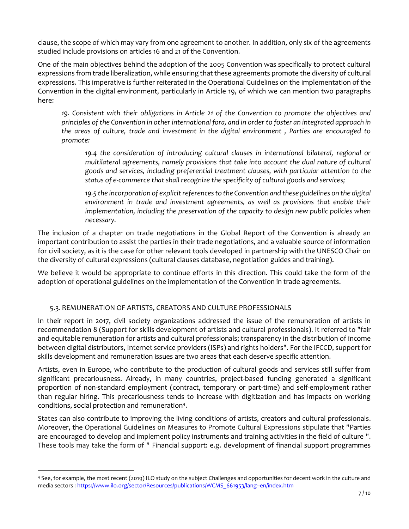clause, the scope of which may vary from one agreement to another. In addition, only six of the agreements studied include provisions on articles 16 and 21 of the Convention.

One of the main objectives behind the adoption of the 2005 Convention was specifically to protect cultural expressions from trade liberalization, while ensuring that these agreements promote the diversity of cultural expressions. This imperative is further reiterated in the Operational Guidelines on the implementation of the Convention in the digital environment, particularly in Article 19, of which we can mention two paragraphs here:

*19. Consistent with their obligations in Article 21 of the Convention to promote the objectives and principles of the Convention in other international fora, and in order to foster an integrated approach in the areas of culture, trade and investment in the digital environment , Parties are encouraged to promote:* 

*19.4 the consideration of introducing cultural clauses in international bilateral, regional or multilateral agreements, namely provisions that take into account the dual nature of cultural goods and services, including preferential treatment clauses, with particular attention to the status of e-commerce that shall recognize the specificity of cultural goods and services;* 

*19.5 the incorporation of explicit references to the Convention and these guidelines on the digital environment in trade and investment agreements, as well as provisions that enable their implementation, including the preservation of the capacity to design new public policies when necessary.* 

The inclusion of a chapter on trade negotiations in the Global Report of the Convention is already an important contribution to assist the parties in their trade negotiations, and a valuable source of information for civil society, as it is the case for other relevant tools developed in partnership with the UNESCO Chair on the diversity of cultural expressions (cultural clauses database, negotiation guides and training).

We believe it would be appropriate to continue efforts in this direction. This could take the form of the adoption of operational guidelines on the implementation of the Convention in trade agreements.

## 5.3. REMUNERATION OF ARTISTS, CREATORS AND CULTURE PROFESSIONALS

In their report in 2017, civil society organizations addressed the issue of the remuneration of artists in recommendation 8 (Support for skills development of artists and cultural professionals). It referred to "fair and equitable remuneration for artists and cultural professionals; transparency in the distribution of income between digital distributors, Internet service providers (ISPs) and rights holders". For the IFCCD, support for skills development and remuneration issues are two areas that each deserve specific attention.

Artists, even in Europe, who contribute to the production of cultural goods and services still suffer from significant precariousness. Already, in many countries, project-based funding generated a significant proportion of non-standard employment (contract, temporary or part-time) and self-employment rather than regular hiring. This precariousness tends to increase with digitization and has impacts on working conditions, social protection and remuneration<sup>4</sup>.

States can also contribute to improving the living conditions of artists, creators and cultural professionals. Moreover, the Operational Guidelines on Measures to Promote Cultural Expressions stipulate that "Parties are encouraged to develop and implement policy instruments and training activities in the field of culture ". These tools may take the form of " Financial support: e.g. development of financial support programmes

<sup>4</sup> See, for example, the most recent (2019) ILO study on the subject Challenges and opportunities for decent work in the culture and media sectors : [https://www.ilo.org/sector/Resources/publications/WCMS\\_661953/lang--en/index.htm](https://www.ilo.org/sector/Resources/publications/WCMS_661953/lang--en/index.htm)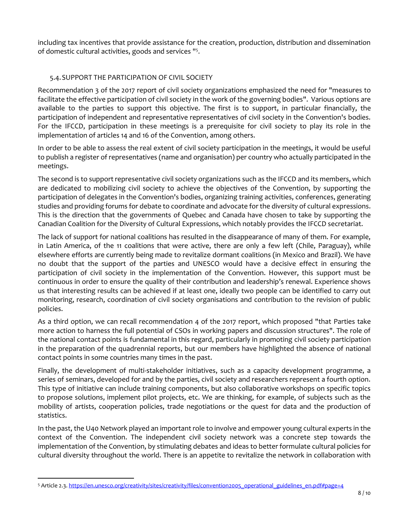including tax incentives that provide assistance for the creation, production, distribution and dissemination of domestic cultural activities, goods and services " 5 .

# 5.4.SUPPORT THE PARTICIPATION OF CIVIL SOCIETY

Recommendation 3 of the 2017 report of civil society organizations emphasized the need for "measures to facilitate the effective participation of civil society in the work of the governing bodies". Various options are available to the parties to support this objective. The first is to support, in particular financially, the participation of independent and representative representatives of civil society in the Convention's bodies. For the IFCCD, participation in these meetings is a prerequisite for civil society to play its role in the implementation of articles 14 and 16 of the Convention, among others.

In order to be able to assess the real extent of civil society participation in the meetings, it would be useful to publish a register of representatives (name and organisation) per country who actually participated in the meetings.

The second is to support representative civil society organizations such as the IFCCD and its members, which are dedicated to mobilizing civil society to achieve the objectives of the Convention, by supporting the participation of delegates in the Convention's bodies, organizing training activities, conferences, generating studies and providing forums for debate to coordinate and advocate for the diversity of cultural expressions. This is the direction that the governments of Quebec and Canada have chosen to take by supporting the Canadian Coalition for the Diversity of Cultural Expressions, which notably provides the IFCCD secretariat.

The lack of support for national coalitions has resulted in the disappearance of many of them. For example, in Latin America, of the 11 coalitions that were active, there are only a few left (Chile, Paraguay), while elsewhere efforts are currently being made to revitalize dormant coalitions (in Mexico and Brazil). We have no doubt that the support of the parties and UNESCO would have a decisive effect in ensuring the participation of civil society in the implementation of the Convention. However, this support must be continuous in order to ensure the quality of their contribution and leadership's renewal. Experience shows us that interesting results can be achieved if at least one, ideally two people can be identified to carry out monitoring, research, coordination of civil society organisations and contribution to the revision of public policies.

As a third option, we can recall recommendation 4 of the 2017 report, which proposed "that Parties take more action to harness the full potential of CSOs in working papers and discussion structures". The role of the national contact points is fundamental in this regard, particularly in promoting civil society participation in the preparation of the quadrennial reports, but our members have highlighted the absence of national contact points in some countries many times in the past.

Finally, the development of multi-stakeholder initiatives, such as a capacity development programme, a series of seminars, developed for and by the parties, civil society and researchers represent a fourth option. This type of initiative can include training components, but also collaborative workshops on specific topics to propose solutions, implement pilot projects, etc. We are thinking, for example, of subjects such as the mobility of artists, cooperation policies, trade negotiations or the quest for data and the production of statistics.

In the past, the U40 Network played an important role to involve and empower young cultural experts in the context of the Convention. The independent civil society network was a concrete step towards the implementation of the Convention, by stimulating debates and ideas to better formulate cultural policies for cultural diversity throughout the world. There is an appetite to revitalize the network in collaboration with

<sup>5</sup> Article 2.3. [https://en.unesco.org/creativity/sites/creativity/files/convention2005\\_operational\\_guidelines\\_en.pdf#page=4](https://en.unesco.org/creativity/sites/creativity/files/convention2005_operational_guidelines_en.pdf#page=4)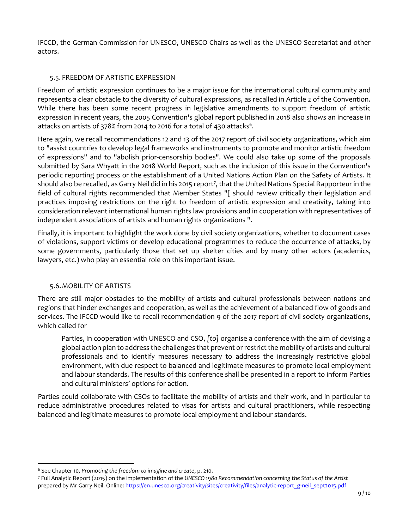IFCCD, the German Commission for UNESCO, UNESCO Chairs as well as the UNESCO Secretariat and other actors.

## 5.5. FREEDOM OF ARTISTIC EXPRESSION

Freedom of artistic expression continues to be a major issue for the international cultural community and represents a clear obstacle to the diversity of cultural expressions, as recalled in Article 2 of the Convention. While there has been some recent progress in legislative amendments to support freedom of artistic expression in recent years, the 2005 Convention's global report published in 2018 also shows an increase in attacks on artists of 378% from 2014 to 2016 for a total of 430 attacks $^6$ .

Here again, we recall recommendations 12 and 13 of the 2017 report of civil society organizations, which aim to "assist countries to develop legal frameworks and instruments to promote and monitor artistic freedom of expressions" and to "abolish prior-censorship bodies". We could also take up some of the proposals submitted by Sara Whyatt in the 2018 World Report, such as the inclusion of this issue in the Convention's periodic reporting process or the establishment of a United Nations Action Plan on the Safety of Artists. It should also be recalled, as Garry Neil did in his 2015 report<sup>7</sup>, that the United Nations Special Rapporteur in the field of cultural rights recommended that Member States "[ should review critically their legislation and practices imposing restrictions on the right to freedom of artistic expression and creativity, taking into consideration relevant international human rights law provisions and in cooperation with representatives of independent associations of artists and human rights organizations ".

Finally, it is important to highlight the work done by civil society organizations, whether to document cases of violations, support victims or develop educational programmes to reduce the occurrence of attacks, by some governments, particularly those that set up shelter cities and by many other actors (academics, lawyers, etc.) who play an essential role on this important issue.

## 5.6.MOBILITY OF ARTISTS

There are still major obstacles to the mobility of artists and cultural professionals between nations and regions that hinder exchanges and cooperation, as well as the achievement of a balanced flow of goods and services. The IFCCD would like to recall recommendation 9 of the 2017 report of civil society organizations, which called for

Parties, in cooperation with UNESCO and CSO, *[to]* organise a conference with the aim of devising a global action plan to address the challenges that prevent or restrict the mobility of artists and cultural professionals and to identify measures necessary to address the increasingly restrictive global environment, with due respect to balanced and legitimate measures to promote local employment and labour standards. The results of this conference shall be presented in a report to inform Parties and cultural ministers' options for action.

Parties could collaborate with CSOs to facilitate the mobility of artists and their work, and in particular to reduce administrative procedures related to visas for artists and cultural practitioners, while respecting balanced and legitimate measures to promote local employment and labour standards.

<sup>6</sup> See Chapter 10*, Promoting the freedom to imagine and create*, p. 210.

<sup>7</sup> Full Analytic Report (2015) on the implementation of the *UNESCO 1980 Recommendation concerning the Status of the Artist*  prepared by Mr Garry Neil. Online[: https://en.unesco.org/creativity/sites/creativity/files/analytic-report\\_g-neil\\_sept2015.pdf](https://en.unesco.org/creativity/sites/creativity/files/analytic-report_g-neil_sept2015.pdf)